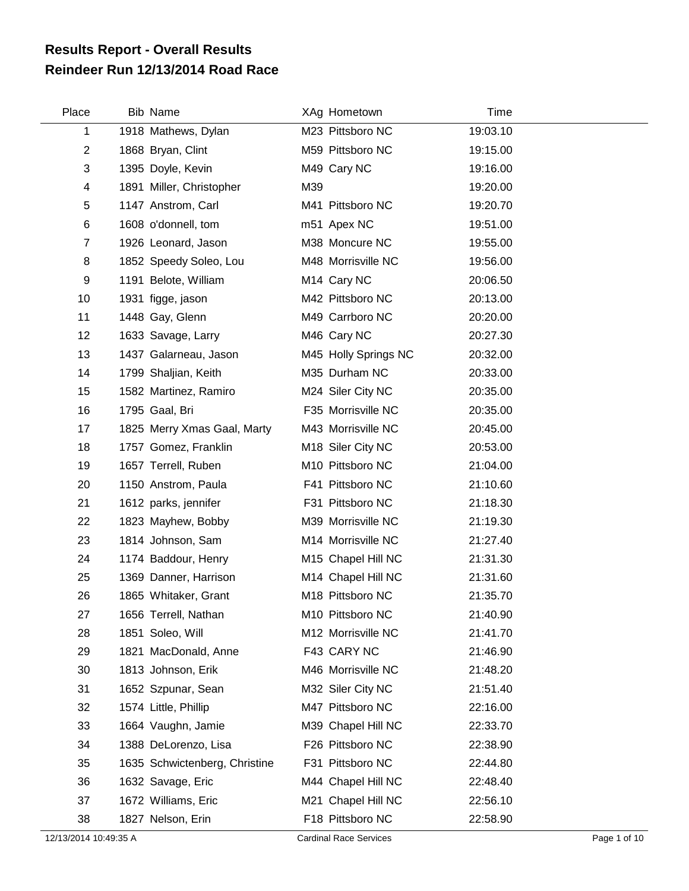## **Reindeer Run 12/13/2014 Road Race Results Report - Overall Results**

| Place          | <b>Bib Name</b>               | XAg Hometown            | Time     |
|----------------|-------------------------------|-------------------------|----------|
| $\mathbf 1$    | 1918 Mathews, Dylan           | M23 Pittsboro NC        | 19:03.10 |
| $\overline{2}$ | 1868 Bryan, Clint             | M59 Pittsboro NC        | 19:15.00 |
| 3              | 1395 Doyle, Kevin             | M49 Cary NC             | 19:16.00 |
| 4              | 1891 Miller, Christopher      | M39                     | 19:20.00 |
| 5              | 1147 Anstrom, Carl            | M41 Pittsboro NC        | 19:20.70 |
| 6              | 1608 o'donnell, tom           | m51 Apex NC             | 19:51.00 |
| $\overline{7}$ | 1926 Leonard, Jason           | M38 Moncure NC          | 19:55.00 |
| 8              | 1852 Speedy Soleo, Lou        | M48 Morrisville NC      | 19:56.00 |
| 9              | 1191 Belote, William          | M <sub>14</sub> Cary NC | 20:06.50 |
| 10             | 1931 figge, jason             | M42 Pittsboro NC        | 20:13.00 |
| 11             | 1448 Gay, Glenn               | M49 Carrboro NC         | 20:20.00 |
| 12             | 1633 Savage, Larry            | M46 Cary NC             | 20:27.30 |
| 13             | 1437 Galarneau, Jason         | M45 Holly Springs NC    | 20:32.00 |
| 14             | 1799 Shaljian, Keith          | M35 Durham NC           | 20:33.00 |
| 15             | 1582 Martinez, Ramiro         | M24 Siler City NC       | 20:35.00 |
| 16             | 1795 Gaal, Bri                | F35 Morrisville NC      | 20:35.00 |
| 17             | 1825 Merry Xmas Gaal, Marty   | M43 Morrisville NC      | 20:45.00 |
| 18             | 1757 Gomez, Franklin          | M18 Siler City NC       | 20:53.00 |
| 19             | 1657 Terrell, Ruben           | M10 Pittsboro NC        | 21:04.00 |
| 20             | 1150 Anstrom, Paula           | F41 Pittsboro NC        | 21:10.60 |
| 21             | 1612 parks, jennifer          | F31 Pittsboro NC        | 21:18.30 |
| 22             | 1823 Mayhew, Bobby            | M39 Morrisville NC      | 21:19.30 |
| 23             | 1814 Johnson, Sam             | M14 Morrisville NC      | 21:27.40 |
| 24             | 1174 Baddour, Henry           | M15 Chapel Hill NC      | 21:31.30 |
| 25             | 1369 Danner, Harrison         | M14 Chapel Hill NC      | 21:31.60 |
| 26             | 1865 Whitaker, Grant          | M18 Pittsboro NC        | 21:35.70 |
| 27             | 1656 Terrell, Nathan          | M10 Pittsboro NC        | 21:40.90 |
| 28             | 1851 Soleo, Will              | M12 Morrisville NC      | 21:41.70 |
| 29             | 1821 MacDonald, Anne          | F43 CARY NC             | 21:46.90 |
| 30             | 1813 Johnson, Erik            | M46 Morrisville NC      | 21:48.20 |
| 31             | 1652 Szpunar, Sean            | M32 Siler City NC       | 21:51.40 |
| 32             | 1574 Little, Phillip          | M47 Pittsboro NC        | 22:16.00 |
| 33             | 1664 Vaughn, Jamie            | M39 Chapel Hill NC      | 22:33.70 |
| 34             | 1388 DeLorenzo, Lisa          | F26 Pittsboro NC        | 22:38.90 |
| 35             | 1635 Schwictenberg, Christine | F31 Pittsboro NC        | 22:44.80 |
| 36             | 1632 Savage, Eric             | M44 Chapel Hill NC      | 22:48.40 |
| 37             | 1672 Williams, Eric           | M21 Chapel Hill NC      | 22:56.10 |
| 38             | 1827 Nelson, Erin             | F18 Pittsboro NC        | 22:58.90 |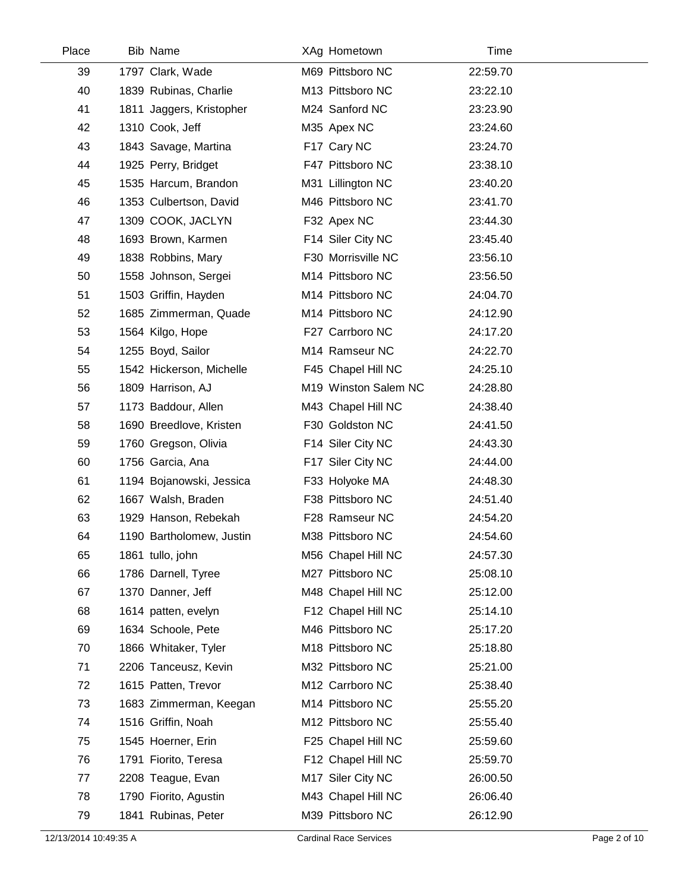| Place | <b>Bib Name</b>          | XAg Hometown         | Time     |
|-------|--------------------------|----------------------|----------|
| 39    | 1797 Clark, Wade         | M69 Pittsboro NC     | 22:59.70 |
| 40    | 1839 Rubinas, Charlie    | M13 Pittsboro NC     | 23:22.10 |
| 41    | 1811 Jaggers, Kristopher | M24 Sanford NC       | 23:23.90 |
| 42    | 1310 Cook, Jeff          | M35 Apex NC          | 23:24.60 |
| 43    | 1843 Savage, Martina     | F17 Cary NC          | 23:24.70 |
| 44    | 1925 Perry, Bridget      | F47 Pittsboro NC     | 23:38.10 |
| 45    | 1535 Harcum, Brandon     | M31 Lillington NC    | 23:40.20 |
| 46    | 1353 Culbertson, David   | M46 Pittsboro NC     | 23:41.70 |
| 47    | 1309 COOK, JACLYN        | F32 Apex NC          | 23:44.30 |
| 48    | 1693 Brown, Karmen       | F14 Siler City NC    | 23:45.40 |
| 49    | 1838 Robbins, Mary       | F30 Morrisville NC   | 23:56.10 |
| 50    | 1558 Johnson, Sergei     | M14 Pittsboro NC     | 23:56.50 |
| 51    | 1503 Griffin, Hayden     | M14 Pittsboro NC     | 24:04.70 |
| 52    | 1685 Zimmerman, Quade    | M14 Pittsboro NC     | 24:12.90 |
| 53    | 1564 Kilgo, Hope         | F27 Carrboro NC      | 24:17.20 |
| 54    | 1255 Boyd, Sailor        | M14 Ramseur NC       | 24:22.70 |
| 55    | 1542 Hickerson, Michelle | F45 Chapel Hill NC   | 24:25.10 |
| 56    | 1809 Harrison, AJ        | M19 Winston Salem NC | 24:28.80 |
| 57    | 1173 Baddour, Allen      | M43 Chapel Hill NC   | 24:38.40 |
| 58    | 1690 Breedlove, Kristen  | F30 Goldston NC      | 24:41.50 |
| 59    | 1760 Gregson, Olivia     | F14 Siler City NC    | 24:43.30 |
| 60    | 1756 Garcia, Ana         | F17 Siler City NC    | 24:44.00 |
| 61    | 1194 Bojanowski, Jessica | F33 Holyoke MA       | 24:48.30 |
| 62    | 1667 Walsh, Braden       | F38 Pittsboro NC     | 24:51.40 |
| 63    | 1929 Hanson, Rebekah     | F28 Ramseur NC       | 24:54.20 |
| 64    | 1190 Bartholomew, Justin | M38 Pittsboro NC     | 24:54.60 |
| 65    | 1861 tullo, john         | M56 Chapel Hill NC   | 24:57.30 |
| 66    | 1786 Darnell, Tyree      | M27 Pittsboro NC     | 25:08.10 |
| 67    | 1370 Danner, Jeff        | M48 Chapel Hill NC   | 25:12.00 |
| 68    | 1614 patten, evelyn      | F12 Chapel Hill NC   | 25:14.10 |
| 69    | 1634 Schoole, Pete       | M46 Pittsboro NC     | 25:17.20 |
| 70    | 1866 Whitaker, Tyler     | M18 Pittsboro NC     | 25:18.80 |
| 71    | 2206 Tanceusz, Kevin     | M32 Pittsboro NC     | 25:21.00 |
| 72    | 1615 Patten, Trevor      | M12 Carrboro NC      | 25:38.40 |
| 73    | 1683 Zimmerman, Keegan   | M14 Pittsboro NC     | 25:55.20 |
| 74    | 1516 Griffin, Noah       | M12 Pittsboro NC     | 25:55.40 |
| 75    | 1545 Hoerner, Erin       | F25 Chapel Hill NC   | 25:59.60 |
| 76    | 1791 Fiorito, Teresa     | F12 Chapel Hill NC   | 25:59.70 |
| 77    | 2208 Teague, Evan        | M17 Siler City NC    | 26:00.50 |
| 78    | 1790 Fiorito, Agustin    | M43 Chapel Hill NC   | 26:06.40 |
| 79    | 1841 Rubinas, Peter      | M39 Pittsboro NC     | 26:12.90 |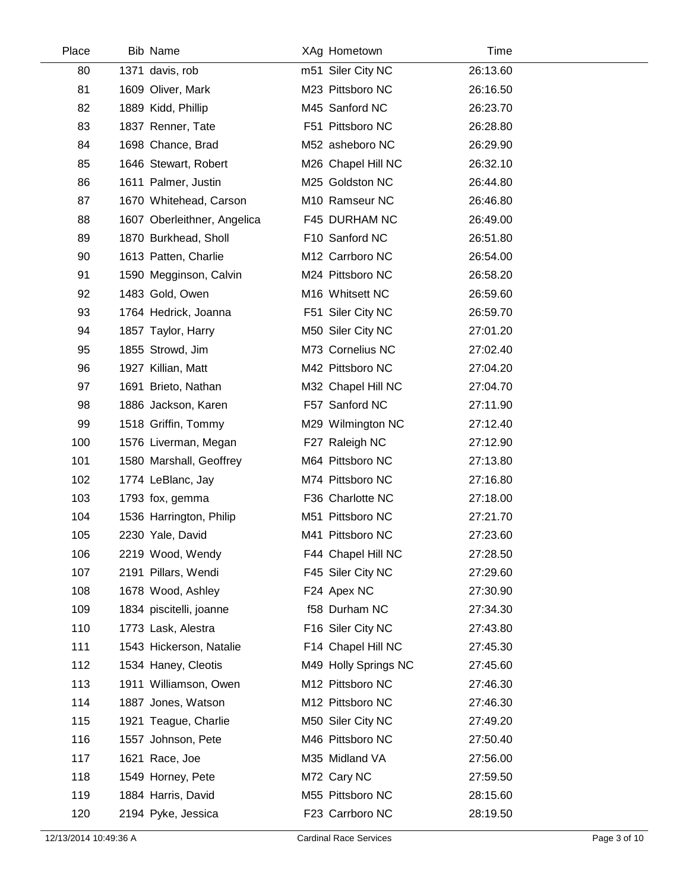| Place | Bib Name                    | XAg Hometown         | Time     |  |
|-------|-----------------------------|----------------------|----------|--|
| 80    | 1371 davis, rob             | m51 Siler City NC    | 26:13.60 |  |
| 81    | 1609 Oliver, Mark           | M23 Pittsboro NC     | 26:16.50 |  |
| 82    | 1889 Kidd, Phillip          | M45 Sanford NC       | 26:23.70 |  |
| 83    | 1837 Renner, Tate           | F51 Pittsboro NC     | 26:28.80 |  |
| 84    | 1698 Chance, Brad           | M52 asheboro NC      | 26:29.90 |  |
| 85    | 1646 Stewart, Robert        | M26 Chapel Hill NC   | 26:32.10 |  |
| 86    | 1611 Palmer, Justin         | M25 Goldston NC      | 26:44.80 |  |
| 87    | 1670 Whitehead, Carson      | M10 Ramseur NC       | 26:46.80 |  |
| 88    | 1607 Oberleithner, Angelica | F45 DURHAM NC        | 26:49.00 |  |
| 89    | 1870 Burkhead, Sholl        | F10 Sanford NC       | 26:51.80 |  |
| 90    | 1613 Patten, Charlie        | M12 Carrboro NC      | 26:54.00 |  |
| 91    | 1590 Megginson, Calvin      | M24 Pittsboro NC     | 26:58.20 |  |
| 92    | 1483 Gold, Owen             | M16 Whitsett NC      | 26:59.60 |  |
| 93    | 1764 Hedrick, Joanna        | F51 Siler City NC    | 26:59.70 |  |
| 94    | 1857 Taylor, Harry          | M50 Siler City NC    | 27:01.20 |  |
| 95    | 1855 Strowd, Jim            | M73 Cornelius NC     | 27:02.40 |  |
| 96    | 1927 Killian, Matt          | M42 Pittsboro NC     | 27:04.20 |  |
| 97    | 1691 Brieto, Nathan         | M32 Chapel Hill NC   | 27:04.70 |  |
| 98    | 1886 Jackson, Karen         | F57 Sanford NC       | 27:11.90 |  |
| 99    | 1518 Griffin, Tommy         | M29 Wilmington NC    | 27:12.40 |  |
| 100   | 1576 Liverman, Megan        | F27 Raleigh NC       | 27:12.90 |  |
| 101   | 1580 Marshall, Geoffrey     | M64 Pittsboro NC     | 27:13.80 |  |
| 102   | 1774 LeBlanc, Jay           | M74 Pittsboro NC     | 27:16.80 |  |
| 103   | 1793 fox, gemma             | F36 Charlotte NC     | 27:18.00 |  |
| 104   | 1536 Harrington, Philip     | M51 Pittsboro NC     | 27:21.70 |  |
| 105   | 2230 Yale, David            | M41 Pittsboro NC     | 27:23.60 |  |
| 106   | 2219 Wood, Wendy            | F44 Chapel Hill NC   | 27:28.50 |  |
| 107   | 2191 Pillars, Wendi         | F45 Siler City NC    | 27:29.60 |  |
| 108   | 1678 Wood, Ashley           | F24 Apex NC          | 27:30.90 |  |
| 109   | 1834 piscitelli, joanne     | f58 Durham NC        | 27:34.30 |  |
| 110   | 1773 Lask, Alestra          | F16 Siler City NC    | 27:43.80 |  |
| 111   | 1543 Hickerson, Natalie     | F14 Chapel Hill NC   | 27:45.30 |  |
| 112   | 1534 Haney, Cleotis         | M49 Holly Springs NC | 27:45.60 |  |
| 113   | 1911 Williamson, Owen       | M12 Pittsboro NC     | 27:46.30 |  |
| 114   | 1887 Jones, Watson          | M12 Pittsboro NC     | 27:46.30 |  |
| 115   | 1921 Teague, Charlie        | M50 Siler City NC    | 27:49.20 |  |
| 116   | 1557 Johnson, Pete          | M46 Pittsboro NC     | 27:50.40 |  |
| 117   | 1621 Race, Joe              | M35 Midland VA       | 27:56.00 |  |
| 118   | 1549 Horney, Pete           | M72 Cary NC          | 27:59.50 |  |
| 119   | 1884 Harris, David          | M55 Pittsboro NC     | 28:15.60 |  |
| 120   | 2194 Pyke, Jessica          | F23 Carrboro NC      | 28:19.50 |  |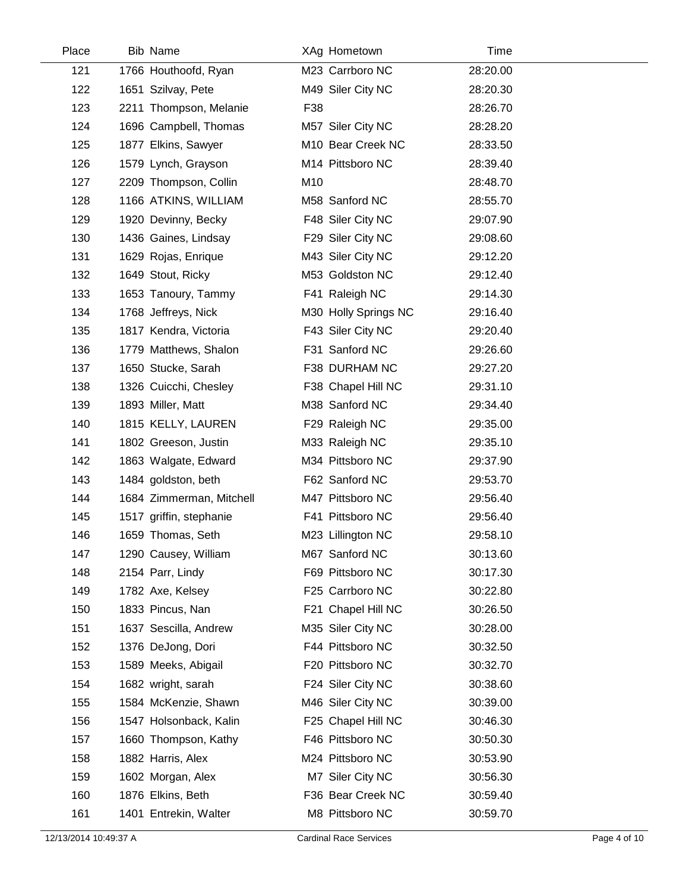| Place | Bib Name                 | XAg Hometown         | Time     |  |
|-------|--------------------------|----------------------|----------|--|
| 121   | 1766 Houthoofd, Ryan     | M23 Carrboro NC      | 28:20.00 |  |
| 122   | 1651 Szilvay, Pete       | M49 Siler City NC    | 28:20.30 |  |
| 123   | 2211 Thompson, Melanie   | F38                  | 28:26.70 |  |
| 124   | 1696 Campbell, Thomas    | M57 Siler City NC    | 28:28.20 |  |
| 125   | 1877 Elkins, Sawyer      | M10 Bear Creek NC    | 28:33.50 |  |
| 126   | 1579 Lynch, Grayson      | M14 Pittsboro NC     | 28:39.40 |  |
| 127   | 2209 Thompson, Collin    | M10                  | 28:48.70 |  |
| 128   | 1166 ATKINS, WILLIAM     | M58 Sanford NC       | 28:55.70 |  |
| 129   | 1920 Devinny, Becky      | F48 Siler City NC    | 29:07.90 |  |
| 130   | 1436 Gaines, Lindsay     | F29 Siler City NC    | 29:08.60 |  |
| 131   | 1629 Rojas, Enrique      | M43 Siler City NC    | 29:12.20 |  |
| 132   | 1649 Stout, Ricky        | M53 Goldston NC      | 29:12.40 |  |
| 133   | 1653 Tanoury, Tammy      | F41 Raleigh NC       | 29:14.30 |  |
| 134   | 1768 Jeffreys, Nick      | M30 Holly Springs NC | 29:16.40 |  |
| 135   | 1817 Kendra, Victoria    | F43 Siler City NC    | 29:20.40 |  |
| 136   | 1779 Matthews, Shalon    | F31 Sanford NC       | 29:26.60 |  |
| 137   | 1650 Stucke, Sarah       | F38 DURHAM NC        | 29:27.20 |  |
| 138   | 1326 Cuicchi, Chesley    | F38 Chapel Hill NC   | 29:31.10 |  |
| 139   | 1893 Miller, Matt        | M38 Sanford NC       | 29:34.40 |  |
| 140   | 1815 KELLY, LAUREN       | F29 Raleigh NC       | 29:35.00 |  |
| 141   | 1802 Greeson, Justin     | M33 Raleigh NC       | 29:35.10 |  |
| 142   | 1863 Walgate, Edward     | M34 Pittsboro NC     | 29:37.90 |  |
| 143   | 1484 goldston, beth      | F62 Sanford NC       | 29:53.70 |  |
| 144   | 1684 Zimmerman, Mitchell | M47 Pittsboro NC     | 29:56.40 |  |
| 145   | 1517 griffin, stephanie  | F41 Pittsboro NC     | 29:56.40 |  |
| 146   | 1659 Thomas, Seth        | M23 Lillington NC    | 29:58.10 |  |
| 147   | 1290 Causey, William     | M67 Sanford NC       | 30:13.60 |  |
| 148   | 2154 Parr, Lindy         | F69 Pittsboro NC     | 30:17.30 |  |
| 149   | 1782 Axe, Kelsey         | F25 Carrboro NC      | 30:22.80 |  |
| 150   | 1833 Pincus, Nan         | F21 Chapel Hill NC   | 30:26.50 |  |
| 151   | 1637 Sescilla, Andrew    | M35 Siler City NC    | 30:28.00 |  |
| 152   | 1376 DeJong, Dori        | F44 Pittsboro NC     | 30:32.50 |  |
| 153   | 1589 Meeks, Abigail      | F20 Pittsboro NC     | 30:32.70 |  |
| 154   | 1682 wright, sarah       | F24 Siler City NC    | 30:38.60 |  |
| 155   | 1584 McKenzie, Shawn     | M46 Siler City NC    | 30:39.00 |  |
| 156   | 1547 Holsonback, Kalin   | F25 Chapel Hill NC   | 30:46.30 |  |
| 157   | 1660 Thompson, Kathy     | F46 Pittsboro NC     | 30:50.30 |  |
| 158   | 1882 Harris, Alex        | M24 Pittsboro NC     | 30:53.90 |  |
| 159   | 1602 Morgan, Alex        | M7 Siler City NC     | 30:56.30 |  |
| 160   | 1876 Elkins, Beth        | F36 Bear Creek NC    | 30:59.40 |  |
| 161   | 1401 Entrekin, Walter    | M8 Pittsboro NC      | 30:59.70 |  |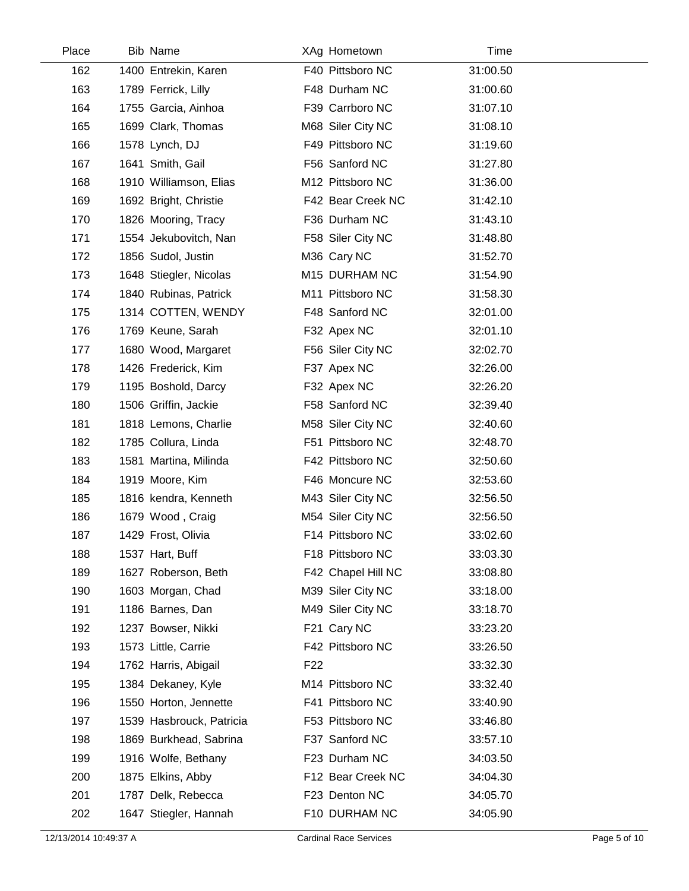| Place | Bib Name                 | XAg Hometown       | Time     |  |
|-------|--------------------------|--------------------|----------|--|
| 162   | 1400 Entrekin, Karen     | F40 Pittsboro NC   | 31:00.50 |  |
| 163   | 1789 Ferrick, Lilly      | F48 Durham NC      | 31:00.60 |  |
| 164   | 1755 Garcia, Ainhoa      | F39 Carrboro NC    | 31:07.10 |  |
| 165   | 1699 Clark, Thomas       | M68 Siler City NC  | 31:08.10 |  |
| 166   | 1578 Lynch, DJ           | F49 Pittsboro NC   | 31:19.60 |  |
| 167   | 1641 Smith, Gail         | F56 Sanford NC     | 31:27.80 |  |
| 168   | 1910 Williamson, Elias   | M12 Pittsboro NC   | 31:36.00 |  |
| 169   | 1692 Bright, Christie    | F42 Bear Creek NC  | 31:42.10 |  |
| 170   | 1826 Mooring, Tracy      | F36 Durham NC      | 31:43.10 |  |
| 171   | 1554 Jekubovitch, Nan    | F58 Siler City NC  | 31:48.80 |  |
| 172   | 1856 Sudol, Justin       | M36 Cary NC        | 31:52.70 |  |
| 173   | 1648 Stiegler, Nicolas   | M15 DURHAM NC      | 31:54.90 |  |
| 174   | 1840 Rubinas, Patrick    | M11 Pittsboro NC   | 31:58.30 |  |
| 175   | 1314 COTTEN, WENDY       | F48 Sanford NC     | 32:01.00 |  |
| 176   | 1769 Keune, Sarah        | F32 Apex NC        | 32:01.10 |  |
| 177   | 1680 Wood, Margaret      | F56 Siler City NC  | 32:02.70 |  |
| 178   | 1426 Frederick, Kim      | F37 Apex NC        | 32:26.00 |  |
| 179   | 1195 Boshold, Darcy      | F32 Apex NC        | 32:26.20 |  |
| 180   | 1506 Griffin, Jackie     | F58 Sanford NC     | 32:39.40 |  |
| 181   | 1818 Lemons, Charlie     | M58 Siler City NC  | 32:40.60 |  |
| 182   | 1785 Collura, Linda      | F51 Pittsboro NC   | 32:48.70 |  |
| 183   | 1581 Martina, Milinda    | F42 Pittsboro NC   | 32:50.60 |  |
| 184   | 1919 Moore, Kim          | F46 Moncure NC     | 32:53.60 |  |
| 185   | 1816 kendra, Kenneth     | M43 Siler City NC  | 32:56.50 |  |
| 186   | 1679 Wood, Craig         | M54 Siler City NC  | 32:56.50 |  |
| 187   | 1429 Frost, Olivia       | F14 Pittsboro NC   | 33:02.60 |  |
| 188   | 1537 Hart, Buff          | F18 Pittsboro NC   | 33:03.30 |  |
| 189   | 1627 Roberson, Beth      | F42 Chapel Hill NC | 33:08.80 |  |
| 190   | 1603 Morgan, Chad        | M39 Siler City NC  | 33:18.00 |  |
| 191   | 1186 Barnes, Dan         | M49 Siler City NC  | 33:18.70 |  |
| 192   | 1237 Bowser, Nikki       | F21 Cary NC        | 33:23.20 |  |
| 193   | 1573 Little, Carrie      | F42 Pittsboro NC   | 33:26.50 |  |
| 194   | 1762 Harris, Abigail     | F <sub>22</sub>    | 33:32.30 |  |
| 195   | 1384 Dekaney, Kyle       | M14 Pittsboro NC   | 33:32.40 |  |
| 196   | 1550 Horton, Jennette    | F41 Pittsboro NC   | 33:40.90 |  |
| 197   | 1539 Hasbrouck, Patricia | F53 Pittsboro NC   | 33:46.80 |  |
| 198   | 1869 Burkhead, Sabrina   | F37 Sanford NC     | 33:57.10 |  |
| 199   | 1916 Wolfe, Bethany      | F23 Durham NC      | 34:03.50 |  |
| 200   | 1875 Elkins, Abby        | F12 Bear Creek NC  | 34:04.30 |  |
| 201   | 1787 Delk, Rebecca       | F23 Denton NC      | 34:05.70 |  |
| 202   | 1647 Stiegler, Hannah    | F10 DURHAM NC      | 34:05.90 |  |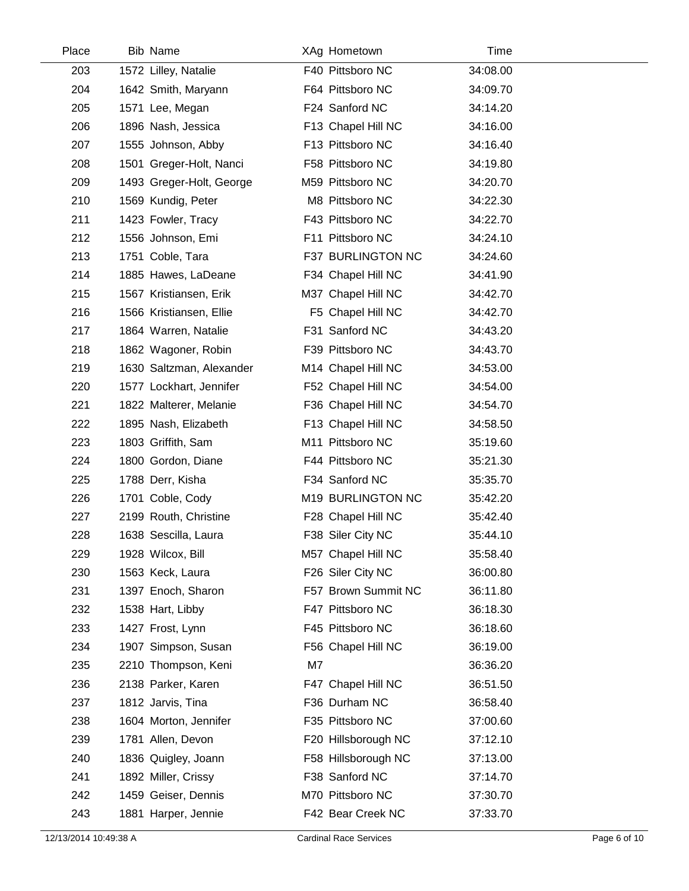| Place | Bib Name                 |    | XAg Hometown        | Time     |  |
|-------|--------------------------|----|---------------------|----------|--|
| 203   | 1572 Lilley, Natalie     |    | F40 Pittsboro NC    | 34:08.00 |  |
| 204   | 1642 Smith, Maryann      |    | F64 Pittsboro NC    | 34:09.70 |  |
| 205   | 1571 Lee, Megan          |    | F24 Sanford NC      | 34:14.20 |  |
| 206   | 1896 Nash, Jessica       |    | F13 Chapel Hill NC  | 34:16.00 |  |
| 207   | 1555 Johnson, Abby       |    | F13 Pittsboro NC    | 34:16.40 |  |
| 208   | 1501 Greger-Holt, Nanci  |    | F58 Pittsboro NC    | 34:19.80 |  |
| 209   | 1493 Greger-Holt, George |    | M59 Pittsboro NC    | 34:20.70 |  |
| 210   | 1569 Kundig, Peter       |    | M8 Pittsboro NC     | 34:22.30 |  |
| 211   | 1423 Fowler, Tracy       |    | F43 Pittsboro NC    | 34:22.70 |  |
| 212   | 1556 Johnson, Emi        |    | F11 Pittsboro NC    | 34:24.10 |  |
| 213   | 1751 Coble, Tara         |    | F37 BURLINGTON NC   | 34:24.60 |  |
| 214   | 1885 Hawes, LaDeane      |    | F34 Chapel Hill NC  | 34:41.90 |  |
| 215   | 1567 Kristiansen, Erik   |    | M37 Chapel Hill NC  | 34:42.70 |  |
| 216   | 1566 Kristiansen, Ellie  |    | F5 Chapel Hill NC   | 34:42.70 |  |
| 217   | 1864 Warren, Natalie     |    | F31 Sanford NC      | 34:43.20 |  |
| 218   | 1862 Wagoner, Robin      |    | F39 Pittsboro NC    | 34:43.70 |  |
| 219   | 1630 Saltzman, Alexander |    | M14 Chapel Hill NC  | 34:53.00 |  |
| 220   | 1577 Lockhart, Jennifer  |    | F52 Chapel Hill NC  | 34:54.00 |  |
| 221   | 1822 Malterer, Melanie   |    | F36 Chapel Hill NC  | 34:54.70 |  |
| 222   | 1895 Nash, Elizabeth     |    | F13 Chapel Hill NC  | 34:58.50 |  |
| 223   | 1803 Griffith, Sam       |    | M11 Pittsboro NC    | 35:19.60 |  |
| 224   | 1800 Gordon, Diane       |    | F44 Pittsboro NC    | 35:21.30 |  |
| 225   | 1788 Derr, Kisha         |    | F34 Sanford NC      | 35:35.70 |  |
| 226   | 1701 Coble, Cody         |    | M19 BURLINGTON NC   | 35:42.20 |  |
| 227   | 2199 Routh, Christine    |    | F28 Chapel Hill NC  | 35:42.40 |  |
| 228   | 1638 Sescilla, Laura     |    | F38 Siler City NC   | 35:44.10 |  |
| 229   | 1928 Wilcox, Bill        |    | M57 Chapel Hill NC  | 35:58.40 |  |
| 230   | 1563 Keck, Laura         |    | F26 Siler City NC   | 36:00.80 |  |
| 231   | 1397 Enoch, Sharon       |    | F57 Brown Summit NC | 36:11.80 |  |
| 232   | 1538 Hart, Libby         |    | F47 Pittsboro NC    | 36:18.30 |  |
| 233   | 1427 Frost, Lynn         |    | F45 Pittsboro NC    | 36:18.60 |  |
| 234   | 1907 Simpson, Susan      |    | F56 Chapel Hill NC  | 36:19.00 |  |
| 235   | 2210 Thompson, Keni      | M7 |                     | 36:36.20 |  |
| 236   | 2138 Parker, Karen       |    | F47 Chapel Hill NC  | 36:51.50 |  |
| 237   | 1812 Jarvis, Tina        |    | F36 Durham NC       | 36:58.40 |  |
| 238   | 1604 Morton, Jennifer    |    | F35 Pittsboro NC    | 37:00.60 |  |
| 239   | 1781 Allen, Devon        |    | F20 Hillsborough NC | 37:12.10 |  |
| 240   | 1836 Quigley, Joann      |    | F58 Hillsborough NC | 37:13.00 |  |
| 241   | 1892 Miller, Crissy      |    | F38 Sanford NC      | 37:14.70 |  |
| 242   | 1459 Geiser, Dennis      |    | M70 Pittsboro NC    | 37:30.70 |  |
| 243   | 1881 Harper, Jennie      |    | F42 Bear Creek NC   | 37:33.70 |  |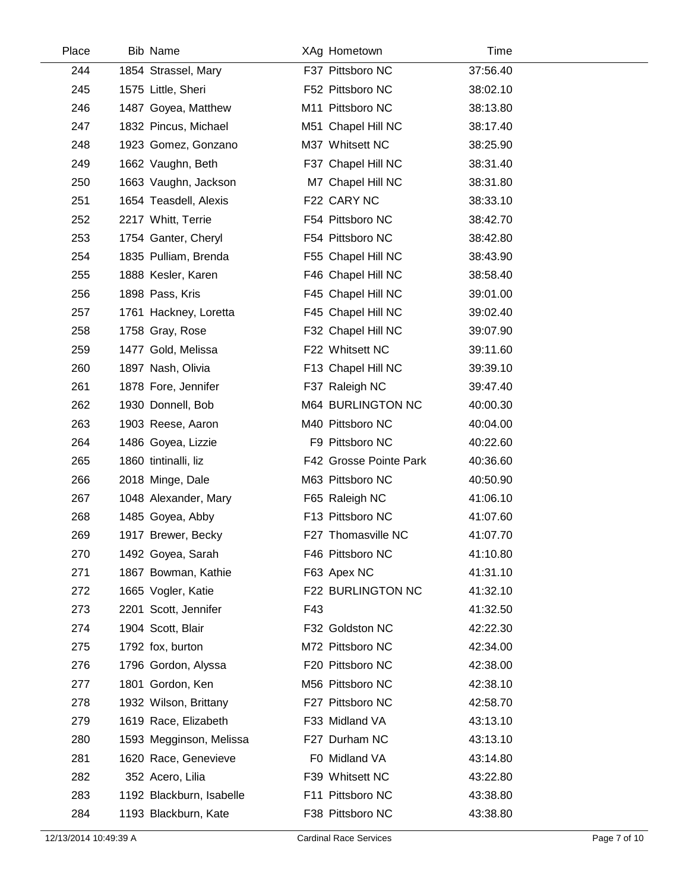| Place |     | Bib Name                 |     | XAg Hometown           | Time     |  |
|-------|-----|--------------------------|-----|------------------------|----------|--|
|       | 244 | 1854 Strassel, Mary      |     | F37 Pittsboro NC       | 37:56.40 |  |
|       | 245 | 1575 Little, Sheri       |     | F52 Pittsboro NC       | 38:02.10 |  |
|       | 246 | 1487 Goyea, Matthew      |     | M11 Pittsboro NC       | 38:13.80 |  |
|       | 247 | 1832 Pincus, Michael     |     | M51 Chapel Hill NC     | 38:17.40 |  |
|       | 248 | 1923 Gomez, Gonzano      |     | M37 Whitsett NC        | 38:25.90 |  |
|       | 249 | 1662 Vaughn, Beth        |     | F37 Chapel Hill NC     | 38:31.40 |  |
|       | 250 | 1663 Vaughn, Jackson     |     | M7 Chapel Hill NC      | 38:31.80 |  |
|       | 251 | 1654 Teasdell, Alexis    |     | F22 CARY NC            | 38:33.10 |  |
|       | 252 | 2217 Whitt, Terrie       |     | F54 Pittsboro NC       | 38:42.70 |  |
|       | 253 | 1754 Ganter, Cheryl      |     | F54 Pittsboro NC       | 38:42.80 |  |
|       | 254 | 1835 Pulliam, Brenda     |     | F55 Chapel Hill NC     | 38:43.90 |  |
|       | 255 | 1888 Kesler, Karen       |     | F46 Chapel Hill NC     | 38:58.40 |  |
|       | 256 | 1898 Pass, Kris          |     | F45 Chapel Hill NC     | 39:01.00 |  |
|       | 257 | 1761 Hackney, Loretta    |     | F45 Chapel Hill NC     | 39:02.40 |  |
|       | 258 | 1758 Gray, Rose          |     | F32 Chapel Hill NC     | 39:07.90 |  |
|       | 259 | 1477 Gold, Melissa       |     | F22 Whitsett NC        | 39:11.60 |  |
|       | 260 | 1897 Nash, Olivia        |     | F13 Chapel Hill NC     | 39:39.10 |  |
|       | 261 | 1878 Fore, Jennifer      |     | F37 Raleigh NC         | 39:47.40 |  |
|       | 262 | 1930 Donnell, Bob        |     | M64 BURLINGTON NC      | 40:00.30 |  |
|       | 263 | 1903 Reese, Aaron        |     | M40 Pittsboro NC       | 40:04.00 |  |
|       | 264 | 1486 Goyea, Lizzie       |     | F9 Pittsboro NC        | 40:22.60 |  |
|       | 265 | 1860 tintinalli, liz     |     | F42 Grosse Pointe Park | 40:36.60 |  |
|       | 266 | 2018 Minge, Dale         |     | M63 Pittsboro NC       | 40:50.90 |  |
|       | 267 | 1048 Alexander, Mary     |     | F65 Raleigh NC         | 41:06.10 |  |
|       | 268 | 1485 Goyea, Abby         |     | F13 Pittsboro NC       | 41:07.60 |  |
|       | 269 | 1917 Brewer, Becky       |     | F27 Thomasville NC     | 41:07.70 |  |
|       | 270 | 1492 Goyea, Sarah        |     | F46 Pittsboro NC       | 41:10.80 |  |
|       | 271 | 1867 Bowman, Kathie      |     | F63 Apex NC            | 41:31.10 |  |
|       | 272 | 1665 Vogler, Katie       |     | F22 BURLINGTON NC      | 41:32.10 |  |
|       | 273 | 2201 Scott, Jennifer     | F43 |                        | 41:32.50 |  |
|       | 274 | 1904 Scott, Blair        |     | F32 Goldston NC        | 42:22.30 |  |
|       | 275 | 1792 fox, burton         |     | M72 Pittsboro NC       | 42:34.00 |  |
|       | 276 | 1796 Gordon, Alyssa      |     | F20 Pittsboro NC       | 42:38.00 |  |
|       | 277 | 1801 Gordon, Ken         |     | M56 Pittsboro NC       | 42:38.10 |  |
|       | 278 | 1932 Wilson, Brittany    |     | F27 Pittsboro NC       | 42:58.70 |  |
|       | 279 | 1619 Race, Elizabeth     |     | F33 Midland VA         | 43:13.10 |  |
|       | 280 | 1593 Megginson, Melissa  |     | F27 Durham NC          | 43:13.10 |  |
|       | 281 | 1620 Race, Genevieve     |     | F0 Midland VA          | 43:14.80 |  |
|       | 282 | 352 Acero, Lilia         |     | F39 Whitsett NC        | 43:22.80 |  |
|       | 283 | 1192 Blackburn, Isabelle |     | F11 Pittsboro NC       | 43:38.80 |  |
|       | 284 | 1193 Blackburn, Kate     |     | F38 Pittsboro NC       | 43:38.80 |  |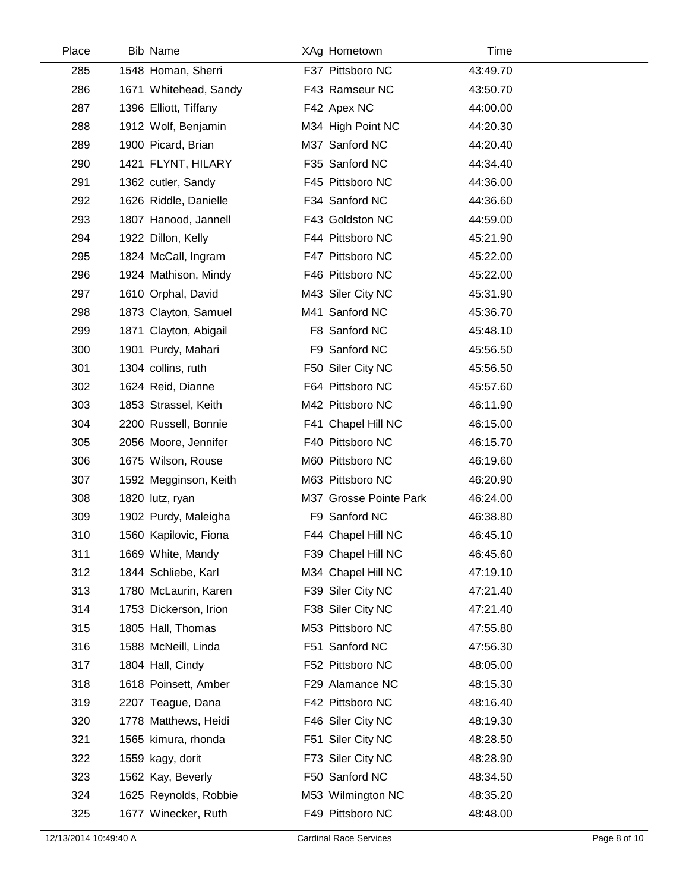| Place | Bib Name              | XAg Hometown           | Time     |  |
|-------|-----------------------|------------------------|----------|--|
| 285   | 1548 Homan, Sherri    | F37 Pittsboro NC       | 43:49.70 |  |
| 286   | 1671 Whitehead, Sandy | F43 Ramseur NC         | 43:50.70 |  |
| 287   | 1396 Elliott, Tiffany | F42 Apex NC            | 44:00.00 |  |
| 288   | 1912 Wolf, Benjamin   | M34 High Point NC      | 44:20.30 |  |
| 289   | 1900 Picard, Brian    | M37 Sanford NC         | 44:20.40 |  |
| 290   | 1421 FLYNT, HILARY    | F35 Sanford NC         | 44:34.40 |  |
| 291   | 1362 cutler, Sandy    | F45 Pittsboro NC       | 44:36.00 |  |
| 292   | 1626 Riddle, Danielle | F34 Sanford NC         | 44:36.60 |  |
| 293   | 1807 Hanood, Jannell  | F43 Goldston NC        | 44:59.00 |  |
| 294   | 1922 Dillon, Kelly    | F44 Pittsboro NC       | 45:21.90 |  |
| 295   | 1824 McCall, Ingram   | F47 Pittsboro NC       | 45:22.00 |  |
| 296   | 1924 Mathison, Mindy  | F46 Pittsboro NC       | 45:22.00 |  |
| 297   | 1610 Orphal, David    | M43 Siler City NC      | 45:31.90 |  |
| 298   | 1873 Clayton, Samuel  | M41 Sanford NC         | 45:36.70 |  |
| 299   | 1871 Clayton, Abigail | F8 Sanford NC          | 45:48.10 |  |
| 300   | 1901 Purdy, Mahari    | F9 Sanford NC          | 45:56.50 |  |
| 301   | 1304 collins, ruth    | F50 Siler City NC      | 45:56.50 |  |
| 302   | 1624 Reid, Dianne     | F64 Pittsboro NC       | 45:57.60 |  |
| 303   | 1853 Strassel, Keith  | M42 Pittsboro NC       | 46:11.90 |  |
| 304   | 2200 Russell, Bonnie  | F41 Chapel Hill NC     | 46:15.00 |  |
| 305   | 2056 Moore, Jennifer  | F40 Pittsboro NC       | 46:15.70 |  |
| 306   | 1675 Wilson, Rouse    | M60 Pittsboro NC       | 46:19.60 |  |
| 307   | 1592 Megginson, Keith | M63 Pittsboro NC       | 46:20.90 |  |
| 308   | 1820 lutz, ryan       | M37 Grosse Pointe Park | 46:24.00 |  |
| 309   | 1902 Purdy, Maleigha  | F9 Sanford NC          | 46:38.80 |  |
| 310   | 1560 Kapilovic, Fiona | F44 Chapel Hill NC     | 46:45.10 |  |
| 311   | 1669 White, Mandy     | F39 Chapel Hill NC     | 46:45.60 |  |
| 312   | 1844 Schliebe, Karl   | M34 Chapel Hill NC     | 47:19.10 |  |
| 313   | 1780 McLaurin, Karen  | F39 Siler City NC      | 47:21.40 |  |
| 314   | 1753 Dickerson, Irion | F38 Siler City NC      | 47:21.40 |  |
| 315   | 1805 Hall, Thomas     | M53 Pittsboro NC       | 47:55.80 |  |
| 316   | 1588 McNeill, Linda   | F51 Sanford NC         | 47:56.30 |  |
| 317   | 1804 Hall, Cindy      | F52 Pittsboro NC       | 48:05.00 |  |
| 318   | 1618 Poinsett, Amber  | F29 Alamance NC        | 48:15.30 |  |
| 319   | 2207 Teague, Dana     | F42 Pittsboro NC       | 48:16.40 |  |
| 320   | 1778 Matthews, Heidi  | F46 Siler City NC      | 48:19.30 |  |
| 321   | 1565 kimura, rhonda   | F51 Siler City NC      | 48:28.50 |  |
| 322   | 1559 kagy, dorit      | F73 Siler City NC      | 48:28.90 |  |
| 323   | 1562 Kay, Beverly     | F50 Sanford NC         | 48:34.50 |  |
| 324   | 1625 Reynolds, Robbie | M53 Wilmington NC      | 48:35.20 |  |
| 325   | 1677 Winecker, Ruth   | F49 Pittsboro NC       | 48:48.00 |  |
|       |                       |                        |          |  |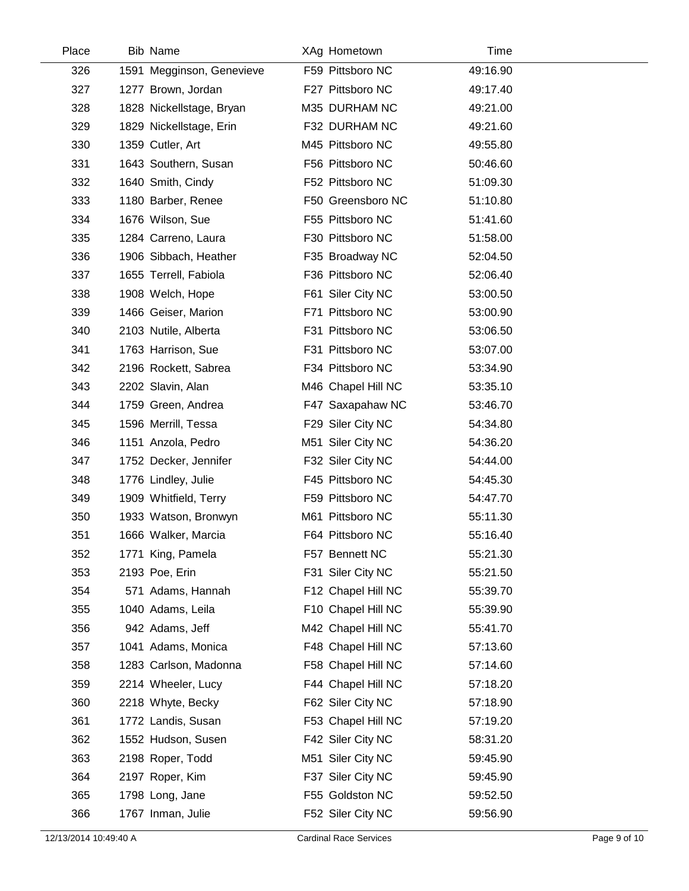| Place | <b>Bib Name</b>           | XAg Hometown       | Time     |  |
|-------|---------------------------|--------------------|----------|--|
| 326   | 1591 Megginson, Genevieve | F59 Pittsboro NC   | 49:16.90 |  |
| 327   | 1277 Brown, Jordan        | F27 Pittsboro NC   | 49:17.40 |  |
| 328   | 1828 Nickellstage, Bryan  | M35 DURHAM NC      | 49:21.00 |  |
| 329   | 1829 Nickellstage, Erin   | F32 DURHAM NC      | 49:21.60 |  |
| 330   | 1359 Cutler, Art          | M45 Pittsboro NC   | 49:55.80 |  |
| 331   | 1643 Southern, Susan      | F56 Pittsboro NC   | 50:46.60 |  |
| 332   | 1640 Smith, Cindy         | F52 Pittsboro NC   | 51:09.30 |  |
| 333   | 1180 Barber, Renee        | F50 Greensboro NC  | 51:10.80 |  |
| 334   | 1676 Wilson, Sue          | F55 Pittsboro NC   | 51:41.60 |  |
| 335   | 1284 Carreno, Laura       | F30 Pittsboro NC   | 51:58.00 |  |
| 336   | 1906 Sibbach, Heather     | F35 Broadway NC    | 52:04.50 |  |
| 337   | 1655 Terrell, Fabiola     | F36 Pittsboro NC   | 52:06.40 |  |
| 338   | 1908 Welch, Hope          | F61 Siler City NC  | 53:00.50 |  |
| 339   | 1466 Geiser, Marion       | F71 Pittsboro NC   | 53:00.90 |  |
| 340   | 2103 Nutile, Alberta      | F31 Pittsboro NC   | 53:06.50 |  |
| 341   | 1763 Harrison, Sue        | F31 Pittsboro NC   | 53:07.00 |  |
| 342   | 2196 Rockett, Sabrea      | F34 Pittsboro NC   | 53:34.90 |  |
| 343   | 2202 Slavin, Alan         | M46 Chapel Hill NC | 53:35.10 |  |
| 344   | 1759 Green, Andrea        | F47 Saxapahaw NC   | 53:46.70 |  |
| 345   | 1596 Merrill, Tessa       | F29 Siler City NC  | 54:34.80 |  |
| 346   | 1151 Anzola, Pedro        | M51 Siler City NC  | 54:36.20 |  |
| 347   | 1752 Decker, Jennifer     | F32 Siler City NC  | 54:44.00 |  |
| 348   | 1776 Lindley, Julie       | F45 Pittsboro NC   | 54:45.30 |  |
| 349   | 1909 Whitfield, Terry     | F59 Pittsboro NC   | 54:47.70 |  |
| 350   | 1933 Watson, Bronwyn      | M61 Pittsboro NC   | 55:11.30 |  |
| 351   | 1666 Walker, Marcia       | F64 Pittsboro NC   | 55:16.40 |  |
| 352   | 1771 King, Pamela         | F57 Bennett NC     | 55:21.30 |  |
| 353   | 2193 Poe, Erin            | F31 Siler City NC  | 55:21.50 |  |
| 354   | 571 Adams, Hannah         | F12 Chapel Hill NC | 55:39.70 |  |
| 355   | 1040 Adams, Leila         | F10 Chapel Hill NC | 55:39.90 |  |
| 356   | 942 Adams, Jeff           | M42 Chapel Hill NC | 55:41.70 |  |
| 357   | 1041 Adams, Monica        | F48 Chapel Hill NC | 57:13.60 |  |
| 358   | 1283 Carlson, Madonna     | F58 Chapel Hill NC | 57:14.60 |  |
| 359   | 2214 Wheeler, Lucy        | F44 Chapel Hill NC | 57:18.20 |  |
| 360   | 2218 Whyte, Becky         | F62 Siler City NC  | 57:18.90 |  |
| 361   | 1772 Landis, Susan        | F53 Chapel Hill NC | 57:19.20 |  |
| 362   | 1552 Hudson, Susen        | F42 Siler City NC  | 58:31.20 |  |
| 363   | 2198 Roper, Todd          | M51 Siler City NC  | 59:45.90 |  |
| 364   | 2197 Roper, Kim           | F37 Siler City NC  | 59:45.90 |  |
| 365   | 1798 Long, Jane           | F55 Goldston NC    | 59:52.50 |  |
| 366   | 1767 Inman, Julie         | F52 Siler City NC  | 59:56.90 |  |